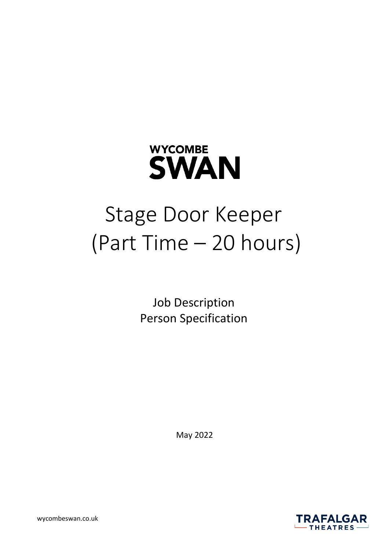

# Stage Door Keeper (Part Time – 20 hours)

Job Description Person Specification

May 2022

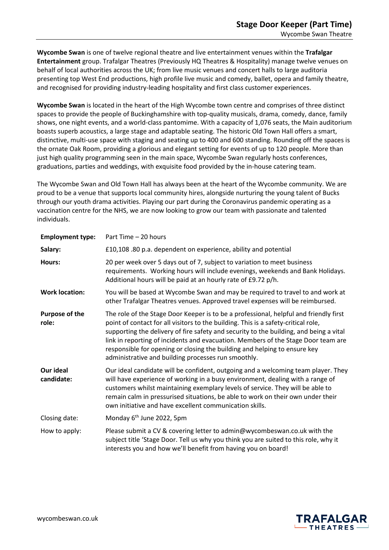**Wycombe Swan** is one of twelve regional theatre and live entertainment venues within the **Trafalgar Entertainment** group. Trafalgar Theatres (Previously HQ Theatres & Hospitality) manage twelve venues on behalf of local authorities across the UK; from live music venues and concert halls to large auditoria presenting top West End productions, high profile live music and comedy, ballet, opera and family theatre, and recognised for providing industry-leading hospitality and first class customer experiences.

**Wycombe Swan** is located in the heart of the High Wycombe town centre and comprises of three distinct spaces to provide the people of Buckinghamshire with top-quality musicals, drama, comedy, dance, family shows, one night events, and a world-class pantomime. With a capacity of 1,076 seats, the Main auditorium boasts superb acoustics, a large stage and adaptable seating. The historic Old Town Hall offers a smart, distinctive, multi-use space with staging and seating up to 400 and 600 standing. Rounding off the spaces is the ornate Oak Room, providing a glorious and elegant setting for events of up to 120 people. More than just high quality programming seen in the main space, Wycombe Swan regularly hosts conferences, graduations, parties and weddings, with exquisite food provided by the in-house catering team.

The Wycombe Swan and Old Town Hall has always been at the heart of the Wycombe community. We are proud to be a venue that supports local community hires, alongside nurturing the young talent of Bucks through our youth drama activities. Playing our part during the Coronavirus pandemic operating as a vaccination centre for the NHS, we are now looking to grow our team with passionate and talented individuals.

| <b>Employment type:</b>        | Part Time - 20 hours                                                                                                                                                                                                                                                                                                                                                                                                                                                                           |
|--------------------------------|------------------------------------------------------------------------------------------------------------------------------------------------------------------------------------------------------------------------------------------------------------------------------------------------------------------------------------------------------------------------------------------------------------------------------------------------------------------------------------------------|
| Salary:                        | £10,108 .80 p.a. dependent on experience, ability and potential                                                                                                                                                                                                                                                                                                                                                                                                                                |
| Hours:                         | 20 per week over 5 days out of 7, subject to variation to meet business<br>requirements. Working hours will include evenings, weekends and Bank Holidays.<br>Additional hours will be paid at an hourly rate of £9.72 p/h.                                                                                                                                                                                                                                                                     |
| <b>Work location:</b>          | You will be based at Wycombe Swan and may be required to travel to and work at<br>other Trafalgar Theatres venues. Approved travel expenses will be reimbursed.                                                                                                                                                                                                                                                                                                                                |
| <b>Purpose of the</b><br>role: | The role of the Stage Door Keeper is to be a professional, helpful and friendly first<br>point of contact for all visitors to the building. This is a safety-critical role,<br>supporting the delivery of fire safety and security to the building, and being a vital<br>link in reporting of incidents and evacuation. Members of the Stage Door team are<br>responsible for opening or closing the building and helping to ensure key<br>administrative and building processes run smoothly. |
| Our ideal<br>candidate:        | Our ideal candidate will be confident, outgoing and a welcoming team player. They<br>will have experience of working in a busy environment, dealing with a range of<br>customers whilst maintaining exemplary levels of service. They will be able to<br>remain calm in pressurised situations, be able to work on their own under their<br>own initiative and have excellent communication skills.                                                                                            |
| Closing date:                  | Monday 6 <sup>th</sup> June 2022, 5pm                                                                                                                                                                                                                                                                                                                                                                                                                                                          |
| How to apply:                  | Please submit a CV & covering letter to admin@wycombeswan.co.uk with the<br>subject title 'Stage Door. Tell us why you think you are suited to this role, why it<br>interests you and how we'll benefit from having you on board!                                                                                                                                                                                                                                                              |

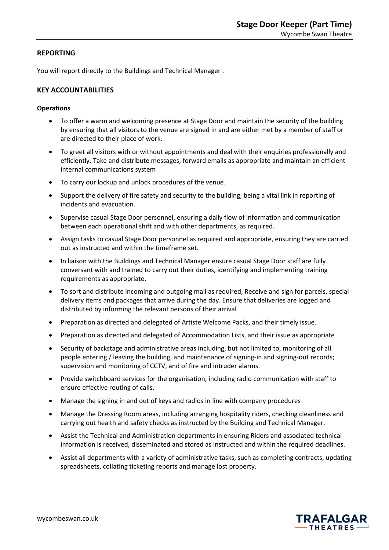# **REPORTING**

You will report directly to the Buildings and Technical Manager .

# **KEY ACCOUNTABILITIES**

#### **Operations**

- To offer a warm and welcoming presence at Stage Door and maintain the security of the building by ensuring that all visitors to the venue are signed in and are either met by a member of staff or are directed to their place of work.
- To greet all visitors with or without appointments and deal with their enquiries professionally and efficiently. Take and distribute messages, forward emails as appropriate and maintain an efficient internal communications system
- To carry our lockup and unlock procedures of the venue.
- Support the delivery of fire safety and security to the building, being a vital link in reporting of incidents and evacuation.
- Supervise casual Stage Door personnel, ensuring a daily flow of information and communication between each operational shift and with other departments, as required.
- Assign tasks to casual Stage Door personnel as required and appropriate, ensuring they are carried out as instructed and within the timeframe set.
- In liaison with the Buildings and Technical Manager ensure casual Stage Door staff are fully conversant with and trained to carry out their duties, identifying and implementing training requirements as appropriate.
- To sort and distribute incoming and outgoing mail as required, Receive and sign for parcels, special delivery items and packages that arrive during the day. Ensure that deliveries are logged and distributed by informing the relevant persons of their arrival
- Preparation as directed and delegated of Artiste Welcome Packs, and their timely issue.
- Preparation as directed and delegated of Accommodation Lists, and their issue as appropriate
- Security of backstage and administrative areas including, but not limited to, monitoring of all people entering / leaving the building, and maintenance of signing-in and signing-out records; supervision and monitoring of CCTV, and of fire and intruder alarms.
- Provide switchboard services for the organisation, including radio communication with staff to ensure effective routing of calls.
- Manage the signing in and out of keys and radios in line with company procedures
- Manage the Dressing Room areas, including arranging hospitality riders, checking cleanliness and carrying out health and safety checks as instructed by the Building and Technical Manager.
- Assist the Technical and Administration departments in ensuring Riders and associated technical information is received, disseminated and stored as instructed and within the required deadlines.
- Assist all departments with a variety of administrative tasks, such as completing contracts, updating spreadsheets, collating ticketing reports and manage lost property.

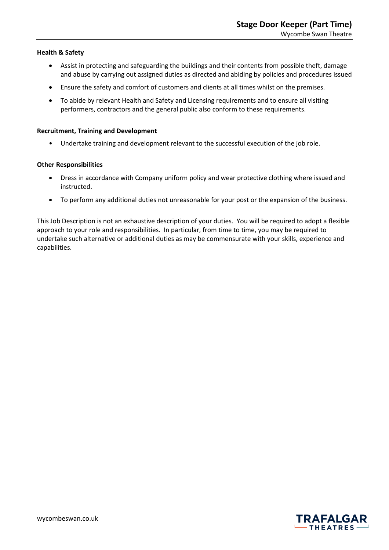# **Health & Safety**

- Assist in protecting and safeguarding the buildings and their contents from possible theft, damage and abuse by carrying out assigned duties as directed and abiding by policies and procedures issued
- Ensure the safety and comfort of customers and clients at all times whilst on the premises.
- To abide by relevant Health and Safety and Licensing requirements and to ensure all visiting performers, contractors and the general public also conform to these requirements.

## **Recruitment, Training and Development**

• Undertake training and development relevant to the successful execution of the job role.

#### **Other Responsibilities**

- Dress in accordance with Company uniform policy and wear protective clothing where issued and instructed.
- To perform any additional duties not unreasonable for your post or the expansion of the business.

This Job Description is not an exhaustive description of your duties. You will be required to adopt a flexible approach to your role and responsibilities. In particular, from time to time, you may be required to undertake such alternative or additional duties as may be commensurate with your skills, experience and capabilities.